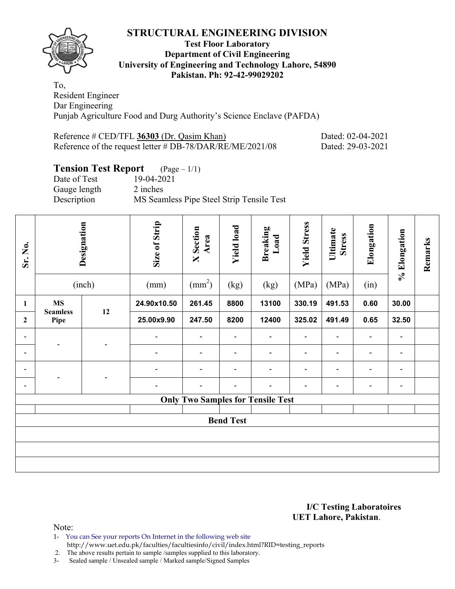

## **Test Floor Laboratory Department of Civil Engineering University of Engineering and Technology Lahore, 54890 Pakistan. Ph: 92-42-99029202**

To, Resident Engineer Dar Engineering Punjab Agriculture Food and Durg Authority's Science Enclave (PAFDA)

| Reference $\#$ CED/TFL 36303 (Dr. Qasim Khan)             | Dated: 02-04-2021 |
|-----------------------------------------------------------|-------------------|
| Reference of the request letter # DB-78/DAR/RE/ME/2021/08 | Dated: 29-03-2021 |

# **Tension Test Report** (Page – 1/1)

Date of Test 19-04-2021 Gauge length 2 inches Description MS Seamless Pipe Steel Strip Tensile Test

| Sr. No.          |                         | Designation<br>(inch) | Size of Strip<br>(mm)        | <b>X</b> Section<br>Area<br>$\text{(mm}^2)$ | <b>Yield load</b><br>(kg) | <b>Breaking</b><br>Load<br>(kg)          | <b>Yield Stress</b><br>(MPa) | Ultimate<br><b>Stress</b><br>(MPa) | Elongation<br>(in) | % Elongation             | Remarks |  |
|------------------|-------------------------|-----------------------|------------------------------|---------------------------------------------|---------------------------|------------------------------------------|------------------------------|------------------------------------|--------------------|--------------------------|---------|--|
| 1                | <b>MS</b>               |                       | 24.90x10.50                  | 261.45                                      | 8800                      | 13100                                    | 330.19                       | 491.53                             | 0.60               | 30.00                    |         |  |
| $\boldsymbol{2}$ | <b>Seamless</b><br>Pipe | 12                    | 25.00x9.90                   | 247.50                                      | 8200                      | 12400                                    | 325.02                       | 491.49                             | 0.65               | 32.50                    |         |  |
| $\blacksquare$   | ٠                       |                       | $\blacksquare$               | $\blacksquare$                              | $\blacksquare$            | $\blacksquare$                           | -                            | $\blacksquare$                     | $\blacksquare$     | $\overline{a}$           |         |  |
| $\blacksquare$   |                         |                       | ۰                            |                                             | $\blacksquare$            | $\blacksquare$                           | $\blacksquare$               | $\blacksquare$                     | $\blacksquare$     | $\overline{a}$           |         |  |
| $\blacksquare$   |                         |                       | $\qquad \qquad \blacksquare$ | $\blacksquare$                              | $\blacksquare$            | $\overline{a}$                           | $\blacksquare$               | $\blacksquare$                     | $\blacksquare$     | $\overline{\phantom{0}}$ |         |  |
| $\blacksquare$   |                         |                       | ۰                            |                                             |                           |                                          | ۰                            | $\overline{a}$                     | $\blacksquare$     | $\overline{a}$           |         |  |
|                  |                         |                       |                              |                                             |                           | <b>Only Two Samples for Tensile Test</b> |                              |                                    |                    |                          |         |  |
|                  |                         |                       |                              |                                             | <b>Bend Test</b>          |                                          |                              |                                    |                    |                          |         |  |
|                  |                         |                       |                              |                                             |                           |                                          |                              |                                    |                    |                          |         |  |
|                  |                         |                       |                              |                                             |                           |                                          |                              |                                    |                    |                          |         |  |
|                  |                         |                       |                              |                                             |                           |                                          |                              |                                    |                    |                          |         |  |

#### **I/C Testing Laboratoires UET Lahore, Pakistan**.

Note:

1- You can See your reports On Internet in the following web site

 http://www.uet.edu.pk/faculties/facultiesinfo/civil/index.html?RID=testing\_reports 2. The above results pertain to sample /samples supplied to this laboratory.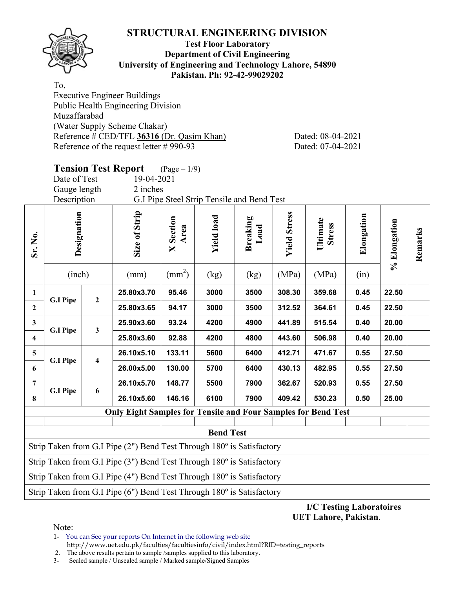

## **Test Floor Laboratory Department of Civil Engineering University of Engineering and Technology Lahore, 54890 Pakistan. Ph: 92-42-99029202**

To,

Executive Engineer Buildings Public Health Engineering Division Muzaffarabad (Water Supply Scheme Chakar) Reference # CED/TFL **36316** (Dr. Qasim Khan) Dated: 08-04-2021 Reference of the request letter # 990-93 Dated: 07-04-2021

|                         | Date of Test<br>Gauge length<br>Description                                                |                         | <b>Tension Test Report</b><br>19-04-2021<br>2 inches                  | $(Page - 1/9)$           | G.I Pipe Steel Strip Tensile and Bend Test |                         |                     |                           |            |              |         |  |  |
|-------------------------|--------------------------------------------------------------------------------------------|-------------------------|-----------------------------------------------------------------------|--------------------------|--------------------------------------------|-------------------------|---------------------|---------------------------|------------|--------------|---------|--|--|
| Sr. No.                 | Designation                                                                                |                         | Size of Strip                                                         | <b>X</b> Section<br>Area | <b>Yield load</b>                          | <b>Breaking</b><br>Load | <b>Yield Stress</b> | Ultimate<br><b>Stress</b> | Elongation | % Elongation | Remarks |  |  |
|                         | $\text{(mm}^2)$<br>(inch)<br>(MPa)<br>(MPa)<br>(mm)<br>(kg)<br>(kg)<br>(in)                |                         |                                                                       |                          |                                            |                         |                     |                           |            |              |         |  |  |
| $\mathbf{1}$            | 25.80x3.70<br>95.46<br>308.30<br>22.50<br>3000<br>3500<br>359.68<br>0.45<br>$\overline{2}$ |                         |                                                                       |                          |                                            |                         |                     |                           |            |              |         |  |  |
| $\overline{2}$          | <b>G.I Pipe</b>                                                                            |                         | 25.80x3.65                                                            | 94.17                    | 3000                                       | 3500                    | 312.52              | 364.61                    | 0.45       | 22.50        |         |  |  |
| $\mathbf{3}$            | <b>G.I Pipe</b>                                                                            | $\mathbf{3}$            | 25.90x3.60                                                            | 93.24                    | 4200                                       | 4900                    | 441.89              | 515.54                    | 0.40       | 20.00        |         |  |  |
| $\overline{\mathbf{4}}$ |                                                                                            |                         | 25.80x3.60                                                            | 92.88                    | 4200                                       | 4800                    | 443.60              | 506.98                    | 0.40       | 20.00        |         |  |  |
| $\overline{\mathbf{5}}$ |                                                                                            | $\overline{\mathbf{4}}$ | 26.10x5.10                                                            | 133.11                   | 5600                                       | 6400                    | 412.71              | 471.67                    | 0.55       | 27.50        |         |  |  |
| 6                       | <b>G.I Pipe</b>                                                                            |                         | 26.00x5.00                                                            | 130.00                   | 5700                                       | 6400                    | 430.13              | 482.95                    | 0.55       | 27.50        |         |  |  |
| 7                       |                                                                                            | 6                       | 26.10x5.70                                                            | 148.77                   | 5500                                       | 7900                    | 362.67              | 520.93                    | 0.55       | 27.50        |         |  |  |
| 8                       | <b>G.I Pipe</b>                                                                            |                         | 26.10x5.60                                                            | 146.16                   | 6100                                       | 7900                    | 409.42              | 530.23                    | 0.50       | 25.00        |         |  |  |
|                         |                                                                                            |                         | <b>Only Eight Samples for Tensile and Four Samples for Bend Test</b>  |                          |                                            |                         |                     |                           |            |              |         |  |  |
|                         |                                                                                            |                         |                                                                       |                          | <b>Bend Test</b>                           |                         |                     |                           |            |              |         |  |  |
|                         | Strip Taken from G.I Pipe (2") Bend Test Through 180° is Satisfactory                      |                         |                                                                       |                          |                                            |                         |                     |                           |            |              |         |  |  |
|                         | Strip Taken from G.I Pipe $(3")$ Bend Test Through $180^\circ$ is Satisfactory             |                         |                                                                       |                          |                                            |                         |                     |                           |            |              |         |  |  |
|                         |                                                                                            |                         | Strip Taken from G.I Pipe (4") Bend Test Through 180° is Satisfactory |                          |                                            |                         |                     |                           |            |              |         |  |  |

**I/C Testing Laboratoires UET Lahore, Pakistan**.

Note:

1- You can See your reports On Internet in the following web site http://www.uet.edu.pk/faculties/facultiesinfo/civil/index.html?RID=testing\_reports

2. The above results pertain to sample /samples supplied to this laboratory.

Strip Taken from G.I Pipe (6") Bend Test Through 180º is Satisfactory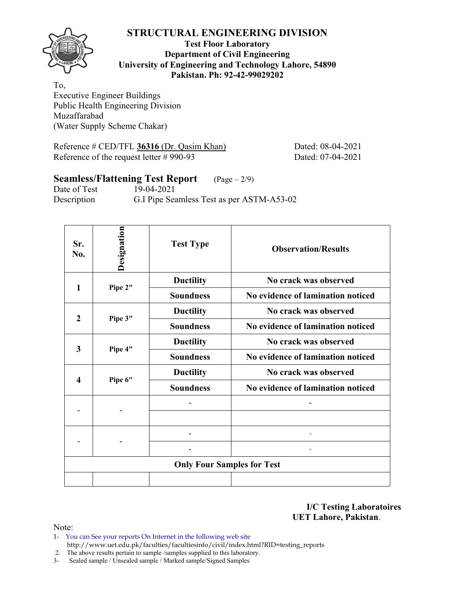

## **Test Floor Laboratory Department of Civil Engineering University of Engineering and Technology Lahore, 54890 Pakistan. Ph: 92-42-99029202**

To, Executive Engineer Buildings Public Health Engineering Division Muzaffarabad (Water Supply Scheme Chakar)

Reference # CED/TFL **36316** (Dr. Qasim Khan) Dated: 08-04-2021 Reference of the request letter # 990-93 Dated: 07-04-2021

# **Seamless/Flattening Test Report** (Page – 2/9)

Date of Test 19-04-2021 Description G.I Pipe Seamless Test as per ASTM-A53-02

| Sr.<br>No.          | Designation | <b>Test Type</b>                  | <b>Observation/Results</b>        |
|---------------------|-------------|-----------------------------------|-----------------------------------|
| 1                   | Pipe 2"     | <b>Ductility</b>                  | No crack was observed             |
|                     |             | <b>Soundness</b>                  | No evidence of lamination noticed |
| $\overline{2}$      |             | <b>Ductility</b>                  | No crack was observed             |
|                     | Pipe 3"     | <b>Soundness</b>                  | No evidence of lamination noticed |
| 3                   |             | <b>Ductility</b>                  | No crack was observed             |
|                     | Pipe 4"     | <b>Soundness</b>                  | No evidence of lamination noticed |
|                     |             | <b>Ductility</b>                  | No crack was observed             |
| $\overline{\bf{4}}$ | Pipe 6"     | <b>Soundness</b>                  | No evidence of lamination noticed |
|                     |             |                                   |                                   |
|                     |             |                                   |                                   |
|                     |             |                                   |                                   |
|                     |             |                                   |                                   |
|                     |             | <b>Only Four Samples for Test</b> |                                   |
|                     |             |                                   |                                   |

**I/C Testing Laboratoires UET Lahore, Pakistan**.

- 1- You can See your reports On Internet in the following web site http://www.uet.edu.pk/faculties/facultiesinfo/civil/index.html?RID=testing\_reports
- 2. The above results pertain to sample /samples supplied to this laboratory.
- 3- Sealed sample / Unsealed sample / Marked sample/Signed Samples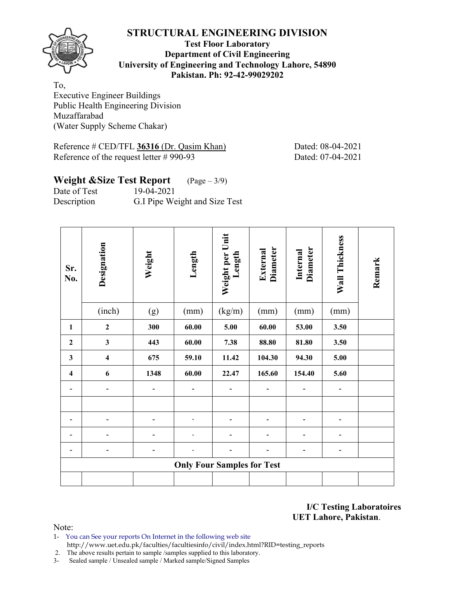

## **Test Floor Laboratory Department of Civil Engineering University of Engineering and Technology Lahore, 54890 Pakistan. Ph: 92-42-99029202**

To, Executive Engineer Buildings Public Health Engineering Division Muzaffarabad (Water Supply Scheme Chakar)

Reference # CED/TFL **36316** (Dr. Qasim Khan) Dated: 08-04-2021 Reference of the request letter # 990-93 Dated: 07-04-2021

# **Weight &Size Test Report** (Page – 3/9) Date of Test 19-04-2021

Description G.I Pipe Weight and Size Test

| Sr.<br>No.              | Designation             | Weight | Length                            | Weight per Unit<br>Length | <b>Diameter</b><br>External | <b>Diameter</b><br>Internal | Wall Thickness               | Remark |
|-------------------------|-------------------------|--------|-----------------------------------|---------------------------|-----------------------------|-----------------------------|------------------------------|--------|
|                         | (inch)                  | (g)    | (mm)                              | (kg/m)                    | (mm)                        | (mm)                        | (mm)                         |        |
| 1                       | $\mathbf{2}$            | 300    | 60.00                             | 5.00                      | 60.00                       | 53.00                       | 3.50                         |        |
| $\overline{2}$          | $\mathbf{3}$            | 443    | 60.00                             | 7.38                      | 88.80                       | 81.80                       | 3.50                         |        |
| $\mathbf{3}$            | $\overline{\mathbf{4}}$ | 675    | 59.10                             | 11.42                     | 104.30                      | 94.30                       | 5.00                         |        |
| $\overline{\mathbf{4}}$ | 6                       | 1348   | 60.00                             | 22.47                     | 165.60                      | 154.40                      | 5.60                         |        |
|                         | ۰                       |        |                                   |                           |                             |                             |                              |        |
|                         |                         |        |                                   |                           |                             |                             |                              |        |
|                         |                         |        |                                   |                           |                             |                             |                              |        |
|                         |                         |        |                                   |                           |                             |                             |                              |        |
|                         |                         |        |                                   |                           |                             | ۰                           | $\qquad \qquad \blacksquare$ |        |
|                         |                         |        | <b>Only Four Samples for Test</b> |                           |                             |                             |                              |        |
|                         |                         |        |                                   |                           |                             |                             |                              |        |

**I/C Testing Laboratoires UET Lahore, Pakistan**.

Note:

1- You can See your reports On Internet in the following web site http://www.uet.edu.pk/faculties/facultiesinfo/civil/index.html?RID=testing\_reports

2. The above results pertain to sample /samples supplied to this laboratory.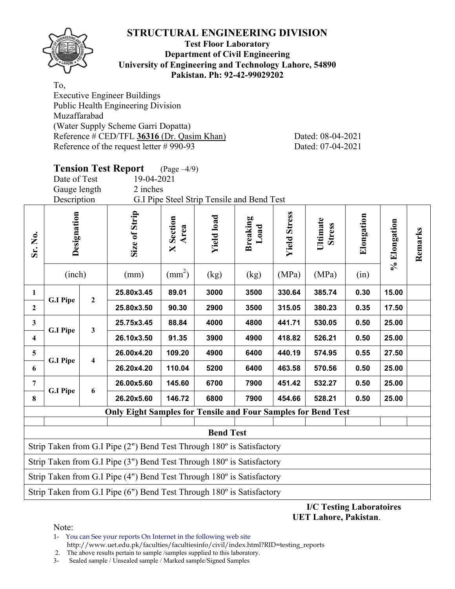

## **Test Floor Laboratory Department of Civil Engineering University of Engineering and Technology Lahore, 54890 Pakistan. Ph: 92-42-99029202**

To,

Executive Engineer Buildings Public Health Engineering Division Muzaffarabad (Water Supply Scheme Garri Dopatta) Reference # CED/TFL **36316** (Dr. Qasim Khan) Dated: 08-04-2021 Reference of the request letter # 990-93 Dated: 07-04-2021

|                         | Date of Test<br>Gauge length<br>Description                                 |                | <b>Tension Test Report</b><br>19-04-2021<br>2 inches                  | $(\text{Page}-4/9)$      | G.I Pipe Steel Strip Tensile and Bend Test |                         |                     |                           |            |              |         |  |
|-------------------------|-----------------------------------------------------------------------------|----------------|-----------------------------------------------------------------------|--------------------------|--------------------------------------------|-------------------------|---------------------|---------------------------|------------|--------------|---------|--|
| Sr. No.                 | Designation                                                                 |                | Size of Strip                                                         | <b>X</b> Section<br>Area | <b>Yield load</b>                          | <b>Breaking</b><br>Load | <b>Yield Stress</b> | Ultimate<br><b>Stress</b> | Elongation | % Elongation | Remarks |  |
|                         | $\text{(mm}^2)$<br>(inch)<br>(MPa)<br>(MPa)<br>(kg)<br>(in)<br>(mm)<br>(kg) |                |                                                                       |                          |                                            |                         |                     |                           |            |              |         |  |
| $\mathbf{1}$            | 3000<br>330.64<br>385.74<br>0.30<br>15.00<br>25.80x3.45<br>89.01<br>3500    |                |                                                                       |                          |                                            |                         |                     |                           |            |              |         |  |
| $\overline{2}$          | <b>G.I Pipe</b>                                                             | $\overline{2}$ | 25.80x3.50                                                            | 90.30                    | 2900                                       | 3500                    | 315.05              | 380.23                    | 0.35       | 17.50        |         |  |
| $\mathbf{3}$            |                                                                             |                | 25.75x3.45                                                            | 88.84                    | 4000                                       | 4800                    | 441.71              | 530.05                    | 0.50       | 25.00        |         |  |
| $\overline{4}$          | <b>G.I Pipe</b>                                                             | $\mathbf{3}$   | 26.10x3.50                                                            | 91.35                    | 3900                                       | 4900                    | 418.82              | 526.21                    | 0.50       | 25.00        |         |  |
| $\overline{\mathbf{5}}$ |                                                                             |                | 26.00x4.20                                                            | 109.20                   | 4900                                       | 6400                    | 440.19              | 574.95                    | 0.55       | 27.50        |         |  |
| 6                       | <b>G.I Pipe</b>                                                             | 4              | 26.20x4.20                                                            | 110.04                   | 5200                                       | 6400                    | 463.58              | 570.56                    | 0.50       | 25.00        |         |  |
| $\overline{7}$          |                                                                             |                | 26.00x5.60                                                            | 145.60                   | 6700                                       | 7900                    | 451.42              | 532.27                    | 0.50       | 25.00        |         |  |
| 8                       | <b>G.I Pipe</b>                                                             | 6              | 26.20x5.60                                                            | 146.72                   | 6800                                       | 7900                    | 454.66              | 528.21                    | 0.50       | 25.00        |         |  |
|                         |                                                                             |                | <b>Only Eight Samples for Tensile and Four Samples for Bend Test</b>  |                          |                                            |                         |                     |                           |            |              |         |  |
|                         | <b>Bend Test</b>                                                            |                |                                                                       |                          |                                            |                         |                     |                           |            |              |         |  |
|                         |                                                                             |                | Strip Taken from G.I Pipe (2") Bend Test Through 180° is Satisfactory |                          |                                            |                         |                     |                           |            |              |         |  |

Strip Taken from G.I Pipe (3") Bend Test Through 180º is Satisfactory

Strip Taken from G.I Pipe (4") Bend Test Through 180º is Satisfactory

Strip Taken from G.I Pipe (6") Bend Test Through 180º is Satisfactory

**I/C Testing Laboratoires UET Lahore, Pakistan**.

Note:

1- You can See your reports On Internet in the following web site http://www.uet.edu.pk/faculties/facultiesinfo/civil/index.html?RID=testing\_reports

2. The above results pertain to sample /samples supplied to this laboratory.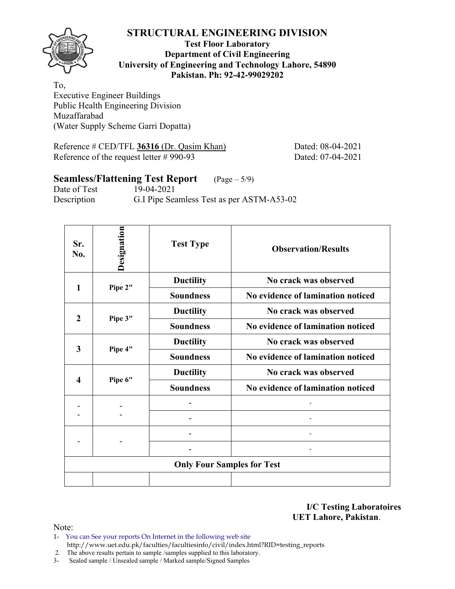

**Test Floor Laboratory Department of Civil Engineering University of Engineering and Technology Lahore, 54890 Pakistan. Ph: 92-42-99029202** 

To, Executive Engineer Buildings Public Health Engineering Division Muzaffarabad (Water Supply Scheme Garri Dopatta)

Reference # CED/TFL **36316** (Dr. Qasim Khan) Dated: 08-04-2021 Reference of the request letter # 990-93 Dated: 07-04-2021

# **Seamless/Flattening Test Report** (Page – 5/9)

Date of Test 19-04-2021 Description G.I Pipe Seamless Test as per ASTM-A53-02

| Sr.<br>No.          | Designation | <b>Test Type</b>                  | <b>Observation/Results</b>        |
|---------------------|-------------|-----------------------------------|-----------------------------------|
| 1                   | Pipe 2"     | <b>Ductility</b>                  | No crack was observed             |
|                     |             | <b>Soundness</b>                  | No evidence of lamination noticed |
| $\overline{2}$      |             | <b>Ductility</b>                  | No crack was observed             |
|                     | Pipe 3"     | <b>Soundness</b>                  | No evidence of lamination noticed |
|                     |             | <b>Ductility</b>                  | No crack was observed             |
| 3                   | Pipe 4"     | <b>Soundness</b>                  | No evidence of lamination noticed |
|                     |             | <b>Ductility</b>                  | No crack was observed             |
| $\overline{\bf{4}}$ | Pipe 6"     | <b>Soundness</b>                  | No evidence of lamination noticed |
|                     |             |                                   |                                   |
|                     |             |                                   |                                   |
|                     |             |                                   |                                   |
|                     |             |                                   |                                   |
|                     |             | <b>Only Four Samples for Test</b> |                                   |
|                     |             |                                   |                                   |

**I/C Testing Laboratoires UET Lahore, Pakistan**.

- 1- You can See your reports On Internet in the following web site http://www.uet.edu.pk/faculties/facultiesinfo/civil/index.html?RID=testing\_reports
- 2. The above results pertain to sample /samples supplied to this laboratory.
- 3- Sealed sample / Unsealed sample / Marked sample/Signed Samples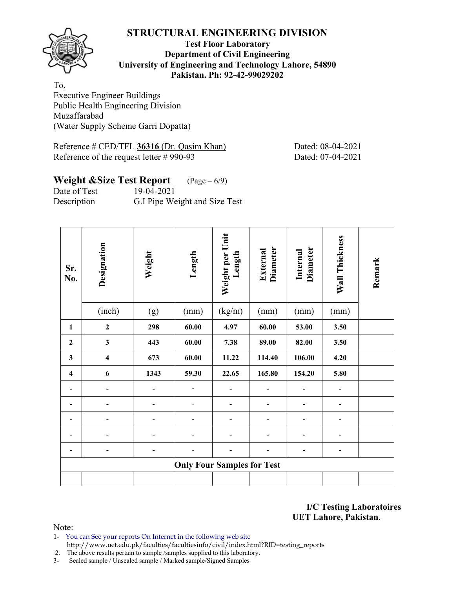

## **Test Floor Laboratory Department of Civil Engineering University of Engineering and Technology Lahore, 54890 Pakistan. Ph: 92-42-99029202**

To, Executive Engineer Buildings Public Health Engineering Division Muzaffarabad (Water Supply Scheme Garri Dopatta)

Reference # CED/TFL 36316 (Dr. Qasim Khan) Dated: 08-04-2021 Reference of the request letter # 990-93 Dated: 07-04-2021

## **Weight &Size Test Report** (Page – 6/9) Date of Test 19-04-2021

Description G.I Pipe Weight and Size Test

| Sr.<br>No.              | Designation             | Weight | Length                            | Weight per Unit<br>Length | Diameter<br>External | <b>Diameter</b><br>Internal | Wall Thickness | Remark |
|-------------------------|-------------------------|--------|-----------------------------------|---------------------------|----------------------|-----------------------------|----------------|--------|
|                         | (inch)                  | (g)    | (mm)                              | (kg/m)                    | (mm)                 | (mm)                        | (mm)           |        |
| $\mathbf{1}$            | $\boldsymbol{2}$        | 298    | 60.00                             | 4.97                      | 60.00                | 53.00                       | 3.50           |        |
| $\mathbf{2}$            | $\mathbf{3}$            | 443    | 60.00                             | 7.38                      | 89.00                | 82.00                       | 3.50           |        |
| $\mathbf{3}$            | $\overline{\mathbf{4}}$ | 673    | 60.00                             | 11.22                     | 114.40               | 106.00                      | 4.20           |        |
| $\overline{\mathbf{4}}$ | 6                       | 1343   | 59.30                             | 22.65                     | 165.80               | 154.20                      | 5.80           |        |
|                         |                         |        |                                   |                           |                      |                             |                |        |
|                         |                         |        |                                   |                           |                      | -                           | -              |        |
|                         |                         |        |                                   |                           |                      |                             |                |        |
|                         |                         |        |                                   |                           |                      |                             |                |        |
|                         |                         |        |                                   |                           |                      | ۰                           | ۰              |        |
|                         |                         |        | <b>Only Four Samples for Test</b> |                           |                      |                             |                |        |
|                         |                         |        |                                   |                           |                      |                             |                |        |

**I/C Testing Laboratoires UET Lahore, Pakistan**.

Note:

1- You can See your reports On Internet in the following web site http://www.uet.edu.pk/faculties/facultiesinfo/civil/index.html?RID=testing\_reports

2. The above results pertain to sample /samples supplied to this laboratory.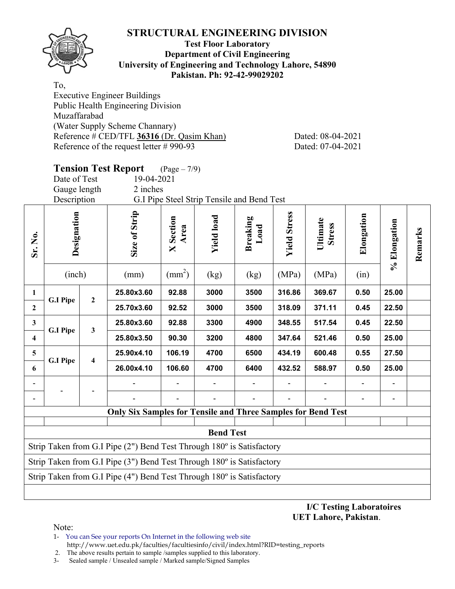

## **Test Floor Laboratory Department of Civil Engineering University of Engineering and Technology Lahore, 54890 Pakistan. Ph: 92-42-99029202**

To,

Executive Engineer Buildings Public Health Engineering Division Muzaffarabad (Water Supply Scheme Channary) Reference # CED/TFL **36316** (Dr. Qasim Khan) Dated: 08-04-2021 Reference of the request letter # 990-93 Dated: 07-04-2021

|                         | <b>Tension Test Report</b><br>$(Page - 7/9)$<br>Date of Test<br>19-04-2021<br>Gauge length<br>2 inches<br>Description<br>G.I Pipe Steel Strip Tensile and Bend Test |   |                                                                                |                          |                   |                         |                     |                           |            |              |         |  |  |
|-------------------------|---------------------------------------------------------------------------------------------------------------------------------------------------------------------|---|--------------------------------------------------------------------------------|--------------------------|-------------------|-------------------------|---------------------|---------------------------|------------|--------------|---------|--|--|
| Sr. No.                 | Designation                                                                                                                                                         |   | Size of Strip                                                                  | <b>X</b> Section<br>Area | <b>Yield load</b> | <b>Breaking</b><br>Load | <b>Yield Stress</b> | Ultimate<br><b>Stress</b> | Elongation | % Elongation | Remarks |  |  |
|                         | $\text{(mm}^2)$<br>(inch)<br>(MPa)<br>(MPa)<br>(mm)<br>(kg)<br>(kg)<br>(in)                                                                                         |   |                                                                                |                          |                   |                         |                     |                           |            |              |         |  |  |
| $\mathbf{1}$            | 25.00<br>25.80x3.60<br>92.88<br>3000<br>3500<br>316.86<br>369.67<br>0.50<br>$\overline{2}$                                                                          |   |                                                                                |                          |                   |                         |                     |                           |            |              |         |  |  |
| $\overline{2}$          | <b>G.I Pipe</b>                                                                                                                                                     |   | 25.70x3.60                                                                     | 92.52                    | 3000              | 3500                    | 318.09              | 371.11                    | 0.45       | 22.50        |         |  |  |
| 3                       |                                                                                                                                                                     |   | 25.80x3.60                                                                     | 92.88                    | 3300              | 4900                    | 348.55              | 517.54                    | 0.45       | 22.50        |         |  |  |
| $\overline{\mathbf{4}}$ | <b>G.I Pipe</b>                                                                                                                                                     | 3 | 25.80x3.50                                                                     | 90.30                    | 3200              | 4800                    | 347.64              | 521.46                    | 0.50       | 25.00        |         |  |  |
| 5                       |                                                                                                                                                                     |   | 25.90x4.10                                                                     | 106.19                   | 4700              | 6500                    | 434.19              | 600.48                    | 0.55       | 27.50        |         |  |  |
| 6                       | <b>G.I Pipe</b>                                                                                                                                                     | 4 | 26.00x4.10                                                                     | 106.60                   | 4700              | 6400                    | 432.52              | 588.97                    | 0.50       | 25.00        |         |  |  |
|                         |                                                                                                                                                                     |   |                                                                                |                          |                   |                         |                     |                           |            |              |         |  |  |
|                         |                                                                                                                                                                     |   |                                                                                |                          |                   |                         |                     |                           |            |              |         |  |  |
|                         |                                                                                                                                                                     |   | <b>Only Six Samples for Tensile and Three Samples for Bend Test</b>            |                          |                   |                         |                     |                           |            |              |         |  |  |
|                         |                                                                                                                                                                     |   |                                                                                |                          | <b>Bend Test</b>  |                         |                     |                           |            |              |         |  |  |
|                         |                                                                                                                                                                     |   | Strip Taken from G.I Pipe (2") Bend Test Through 180° is Satisfactory          |                          |                   |                         |                     |                           |            |              |         |  |  |
|                         |                                                                                                                                                                     |   | Strip Taken from G.I Pipe $(3")$ Bend Test Through $180^\circ$ is Satisfactory |                          |                   |                         |                     |                           |            |              |         |  |  |
|                         |                                                                                                                                                                     |   | Strip Taken from G.I Pipe (4") Bend Test Through 180° is Satisfactory          |                          |                   |                         |                     |                           |            |              |         |  |  |

**I/C Testing Laboratoires UET Lahore, Pakistan**.

Note:

1- You can See your reports On Internet in the following web site

http://www.uet.edu.pk/faculties/facultiesinfo/civil/index.html?RID=testing\_reports

 2. The above results pertain to sample /samples supplied to this laboratory. 3- Sealed sample / Unsealed sample / Marked sample/Signed Samples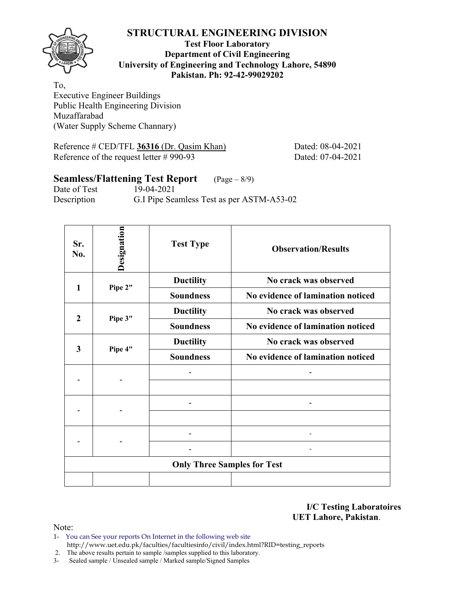

## **Test Floor Laboratory Department of Civil Engineering University of Engineering and Technology Lahore, 54890 Pakistan. Ph: 92-42-99029202**

To, Executive Engineer Buildings Public Health Engineering Division Muzaffarabad (Water Supply Scheme Channary)

Reference # CED/TFL **36316** (Dr. Qasim Khan) Dated: 08-04-2021 Reference of the request letter # 990-93 Dated: 07-04-2021

# **Seamless/Flattening Test Report** (Page – 8/9)

Date of Test 19-04-2021 Description G.I Pipe Seamless Test as per ASTM-A53-02

| Sr.<br>No.     | Designation | <b>Test Type</b>                   | <b>Observation/Results</b>        |
|----------------|-------------|------------------------------------|-----------------------------------|
| 1              | Pipe 2"     | <b>Ductility</b>                   | No crack was observed             |
|                |             | <b>Soundness</b>                   | No evidence of lamination noticed |
| $\overline{2}$ |             | <b>Ductility</b>                   | No crack was observed             |
|                | Pipe 3"     | <b>Soundness</b>                   | No evidence of lamination noticed |
| 3              |             | <b>Ductility</b>                   | No crack was observed             |
|                | Pipe 4"     | <b>Soundness</b>                   | No evidence of lamination noticed |
|                |             |                                    |                                   |
|                |             |                                    |                                   |
|                |             |                                    |                                   |
|                |             |                                    |                                   |
|                |             |                                    |                                   |
|                |             |                                    |                                   |
|                |             | <b>Only Three Samples for Test</b> |                                   |
|                |             |                                    |                                   |

**I/C Testing Laboratoires UET Lahore, Pakistan**.

Note:

1- You can See your reports On Internet in the following web site http://www.uet.edu.pk/faculties/facultiesinfo/civil/index.html?RID=testing\_reports

2. The above results pertain to sample /samples supplied to this laboratory.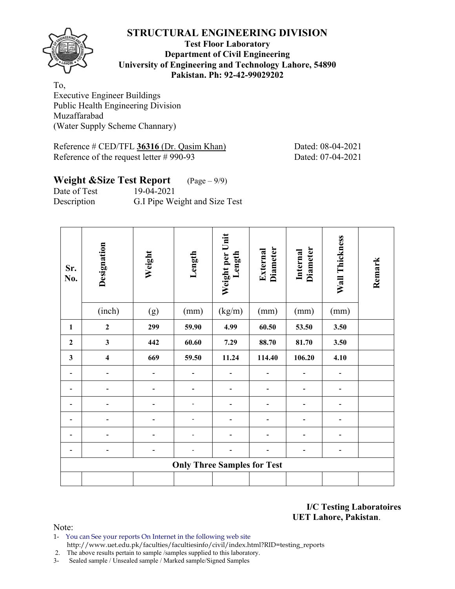

## **Test Floor Laboratory Department of Civil Engineering University of Engineering and Technology Lahore, 54890 Pakistan. Ph: 92-42-99029202**

To, Executive Engineer Buildings Public Health Engineering Division Muzaffarabad (Water Supply Scheme Channary)

Reference # CED/TFL 36316 (Dr. Qasim Khan) Dated: 08-04-2021 Reference of the request letter # 990-93 Dated: 07-04-2021

# **Weight &Size Test Report** (Page – 9/9) Date of Test 19-04-2021

Description G.I Pipe Weight and Size Test

| Sr.<br>No.   | Designation             | Weight | Length                             | Weight per Unit<br>Length | <b>Diameter</b><br>External | Diameter<br>Internal | Wall Thickness | Remark |
|--------------|-------------------------|--------|------------------------------------|---------------------------|-----------------------------|----------------------|----------------|--------|
|              | (inch)                  | (g)    | (mm)                               | (kg/m)                    | (mm)                        | (mm)                 | (mm)           |        |
| 1            | $\boldsymbol{2}$        | 299    | 59.90                              | 4.99                      | 60.50                       | 53.50                | 3.50           |        |
| $\mathbf{2}$ | $\overline{\mathbf{3}}$ | 442    | 60.60                              | 7.29                      | 88.70                       | 81.70                | 3.50           |        |
| $\mathbf{3}$ | $\overline{\mathbf{4}}$ | 669    | 59.50                              | 11.24                     | 114.40                      | 106.20               | 4.10           |        |
| ۰            |                         |        |                                    |                           |                             |                      |                |        |
|              |                         |        |                                    |                           |                             |                      |                |        |
|              |                         |        |                                    |                           |                             |                      |                |        |
|              |                         |        |                                    |                           |                             |                      |                |        |
|              |                         |        |                                    |                           |                             |                      |                |        |
|              | -                       |        |                                    | -                         | -                           | -                    | -              |        |
|              |                         |        | <b>Only Three Samples for Test</b> |                           |                             |                      |                |        |
|              |                         |        |                                    |                           |                             |                      |                |        |

**I/C Testing Laboratoires UET Lahore, Pakistan**.

Note:

1- You can See your reports On Internet in the following web site http://www.uet.edu.pk/faculties/facultiesinfo/civil/index.html?RID=testing\_reports

2. The above results pertain to sample /samples supplied to this laboratory.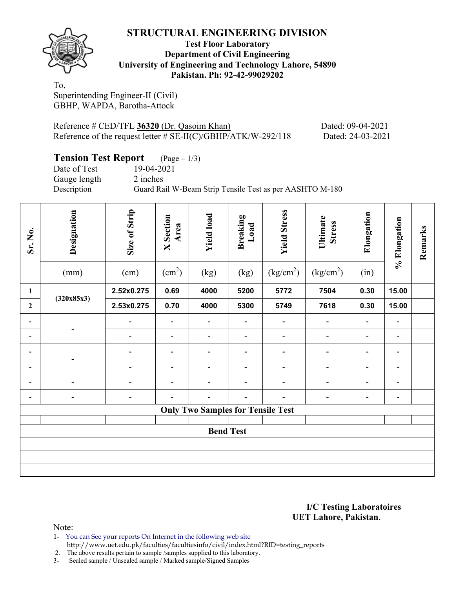

## **Test Floor Laboratory Department of Civil Engineering University of Engineering and Technology Lahore, 54890 Pakistan. Ph: 92-42-99029202**

To, Superintending Engineer-II (Civil) GBHP, WAPDA, Barotha-Attock

Reference # CED/TFL **36320** (Dr. Qasoim Khan) Dated: 09-04-2021 Reference of the request letter # SE-II(C)/GBHP/ATK/W-292/118 Dated: 24-03-2021

## **Tension Test Report** (Page – 1/3) Date of Test 19-04-2021 Gauge length 2 inches Description Guard Rail W-Beam Strip Tensile Test as per AASHTO M-180

| Sr. No.                      | Designation<br>(mm)          | Size of Strip<br>(cm)    | <b>X</b> Section<br>Area<br>(cm <sup>2</sup> ) | <b>Yield load</b><br>(kg)                | <b>Breaking</b><br>Load<br>(kg) | <b>Yield Stress</b><br>(kg/cm <sup>2</sup> ) | Ultimate<br><b>Stress</b><br>(kg/cm <sup>2</sup> ) | Elongation<br>(in)       | % Elongation             | Remarks |
|------------------------------|------------------------------|--------------------------|------------------------------------------------|------------------------------------------|---------------------------------|----------------------------------------------|----------------------------------------------------|--------------------------|--------------------------|---------|
| $\mathbf{1}$                 |                              | 2.52x0.275               | 0.69                                           | 4000                                     | 5200                            | 5772                                         | 7504                                               | 0.30                     | 15.00                    |         |
| $\mathbf{2}$                 | (320x85x3)                   | 2.53x0.275               | 0.70                                           | 4000                                     | 5300                            | 5749                                         | 7618                                               | 0.30                     | 15.00                    |         |
| -                            |                              |                          | $\qquad \qquad \blacksquare$                   |                                          |                                 |                                              | -                                                  |                          | $\overline{\phantom{a}}$ |         |
| $\qquad \qquad \blacksquare$ |                              |                          | $\overline{\phantom{0}}$                       | $\overline{\phantom{a}}$                 |                                 | $\overline{\phantom{0}}$                     | $\blacksquare$                                     |                          | $\overline{\phantom{0}}$ |         |
| $\overline{\phantom{0}}$     |                              |                          | $\qquad \qquad \blacksquare$                   | $\overline{\phantom{a}}$                 |                                 | $\overline{\phantom{0}}$                     | -                                                  |                          | $\overline{\phantom{a}}$ |         |
| $\qquad \qquad \blacksquare$ |                              | $\overline{\phantom{0}}$ | $\overline{\phantom{a}}$                       | $\overline{\phantom{a}}$                 | $\overline{\phantom{a}}$        | $\blacksquare$                               | $\blacksquare$                                     | $\overline{\phantom{a}}$ | $\overline{\phantom{a}}$ |         |
| $\qquad \qquad \blacksquare$ | $\overline{a}$               |                          | $\qquad \qquad \blacksquare$                   | $\overline{\phantom{a}}$                 | $\overline{\phantom{a}}$        | $\blacksquare$                               | $\blacksquare$                                     | $\overline{\phantom{0}}$ | $\overline{\phantom{a}}$ |         |
| $\qquad \qquad \blacksquare$ | $\qquad \qquad \blacksquare$ | -                        | $\qquad \qquad \blacksquare$                   | $\overline{\phantom{0}}$                 | $\overline{\phantom{a}}$        | $\qquad \qquad$                              | -                                                  |                          | $\overline{\phantom{a}}$ |         |
|                              |                              |                          |                                                | <b>Only Two Samples for Tensile Test</b> |                                 |                                              |                                                    |                          |                          |         |
|                              |                              |                          |                                                |                                          |                                 |                                              |                                                    |                          |                          |         |
|                              |                              |                          |                                                | <b>Bend Test</b>                         |                                 |                                              |                                                    |                          |                          |         |
|                              |                              |                          |                                                |                                          |                                 |                                              |                                                    |                          |                          |         |
|                              |                              |                          |                                                |                                          |                                 |                                              |                                                    |                          |                          |         |
|                              |                              |                          |                                                |                                          |                                 |                                              |                                                    |                          |                          |         |

#### **I/C Testing Laboratoires UET Lahore, Pakistan**.

Note:

1- You can See your reports On Internet in the following web site http://www.uet.edu.pk/faculties/facultiesinfo/civil/index.html?RID=testing\_reports

2. The above results pertain to sample /samples supplied to this laboratory.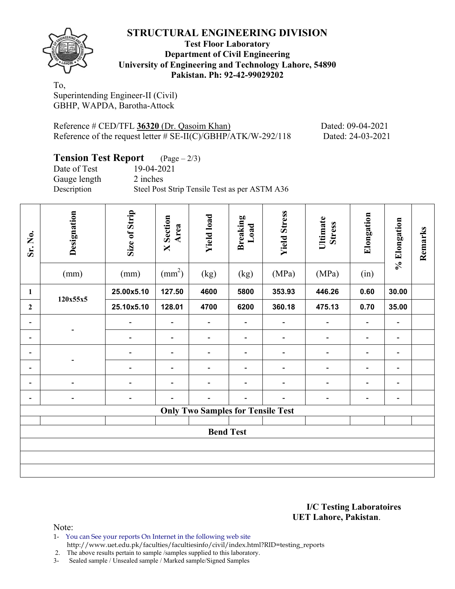

## **Test Floor Laboratory Department of Civil Engineering University of Engineering and Technology Lahore, 54890 Pakistan. Ph: 92-42-99029202**

To, Superintending Engineer-II (Civil) GBHP, WAPDA, Barotha-Attock

Reference # CED/TFL **36320** (Dr. Qasoim Khan) Dated: 09-04-2021 Reference of the request letter # SE-II(C)/GBHP/ATK/W-292/118 Dated: 24-03-2021

## **Tension Test Report** (Page – 2/3) Date of Test 19-04-2021 Gauge length 2 inches Description Steel Post Strip Tensile Test as per ASTM A36

| Sr. No.                      | Designation              | Size of Strip                | <b>X</b> Section<br>Area     | <b>Yield load</b>                        | <b>Breaking</b><br>Load      | <b>Yield Stress</b>          | Ultimate<br><b>Stress</b>    | Elongation               | % Elongation             | Remarks |
|------------------------------|--------------------------|------------------------------|------------------------------|------------------------------------------|------------------------------|------------------------------|------------------------------|--------------------------|--------------------------|---------|
|                              | (mm)                     | (mm)                         | $\text{(mm}^2)$              | (kg)                                     | (kg)                         | (MPa)                        | (MPa)                        | (in)                     |                          |         |
| $\mathbf{1}$                 | 120x55x5                 | 25.00x5.10                   | 127.50                       | 4600                                     | 5800                         | 353.93                       | 446.26                       | 0.60                     | 30.00                    |         |
| $\boldsymbol{2}$             |                          | 25.10x5.10                   | 128.01                       | 4700                                     | 6200                         | 360.18                       | 475.13                       | 0.70                     | 35.00                    |         |
| $\qquad \qquad \blacksquare$ |                          | $\qquad \qquad \blacksquare$ | $\qquad \qquad \blacksquare$ | $\overline{\phantom{a}}$                 | $\overline{\phantom{a}}$     | $\qquad \qquad \blacksquare$ | $\qquad \qquad \blacksquare$ | $\overline{\phantom{a}}$ | $\overline{\phantom{a}}$ |         |
| $\qquad \qquad \blacksquare$ |                          | $\overline{\phantom{a}}$     | $\qquad \qquad \blacksquare$ | $\blacksquare$                           | $\overline{\phantom{a}}$     | $\overline{\phantom{a}}$     | $\overline{\phantom{a}}$     | $\overline{\phantom{a}}$ | $\overline{\phantom{a}}$ |         |
| $\qquad \qquad \blacksquare$ |                          | $\overline{\phantom{a}}$     | $\overline{\phantom{a}}$     | $\blacksquare$                           | $\overline{\phantom{a}}$     | $\overline{\phantom{a}}$     | $\blacksquare$               | $\blacksquare$           | $\blacksquare$           |         |
| $\qquad \qquad \blacksquare$ |                          | $\overline{\phantom{0}}$     | $\qquad \qquad \blacksquare$ | $\qquad \qquad \blacksquare$             | $\overline{\phantom{a}}$     | $\overline{\phantom{a}}$     | $\qquad \qquad \blacksquare$ | $\overline{\phantom{a}}$ | $\overline{\phantom{a}}$ |         |
| $\qquad \qquad \blacksquare$ | $\blacksquare$           |                              | $\overline{\phantom{a}}$     | $\qquad \qquad \blacksquare$             | $\overline{\phantom{a}}$     | $\qquad \qquad \blacksquare$ | $\qquad \qquad \blacksquare$ | $\overline{\phantom{a}}$ | $\overline{\phantom{a}}$ |         |
| $\qquad \qquad \blacksquare$ | $\overline{\phantom{a}}$ | $\overline{a}$               | $\overline{\phantom{0}}$     | $\qquad \qquad \blacksquare$             | $\qquad \qquad \blacksquare$ | $\overline{\phantom{0}}$     | $\overline{\phantom{0}}$     | $\overline{\phantom{a}}$ | $\overline{\phantom{a}}$ |         |
|                              |                          |                              |                              | <b>Only Two Samples for Tensile Test</b> |                              |                              |                              |                          |                          |         |
|                              |                          |                              |                              |                                          |                              |                              |                              |                          |                          |         |
|                              |                          |                              |                              | <b>Bend Test</b>                         |                              |                              |                              |                          |                          |         |
|                              |                          |                              |                              |                                          |                              |                              |                              |                          |                          |         |
|                              |                          |                              |                              |                                          |                              |                              |                              |                          |                          |         |
|                              |                          |                              |                              |                                          |                              |                              |                              |                          |                          |         |

**I/C Testing Laboratoires UET Lahore, Pakistan**.

Note:

1- You can See your reports On Internet in the following web site http://www.uet.edu.pk/faculties/facultiesinfo/civil/index.html?RID=testing\_reports

2. The above results pertain to sample /samples supplied to this laboratory.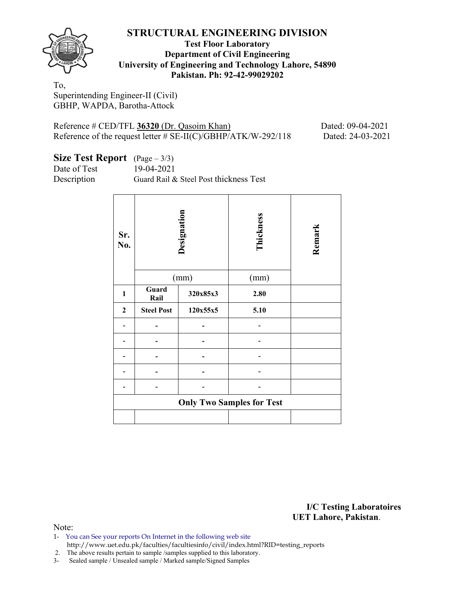

## **Test Floor Laboratory Department of Civil Engineering University of Engineering and Technology Lahore, 54890 Pakistan. Ph: 92-42-99029202**

To, Superintending Engineer-II (Civil) GBHP, WAPDA, Barotha-Attock

Reference # CED/TFL **36320** (Dr. Qasoim Khan) Dated: 09-04-2021 Reference of the request letter # SE-II(C)/GBHP/ATK/W-292/118 Dated: 24-03-2021

| Size Test Report $(Page-3/3)$ |  |
|-------------------------------|--|
|-------------------------------|--|

Date of Test 19-04-2021

Description Guard Rail & Steel Post thickness Test

| Sr.<br>No.       |                   | Designation<br>(mm) | Thickness<br>(mm)                | Remark |
|------------------|-------------------|---------------------|----------------------------------|--------|
| $\mathbf{1}$     | Guard<br>Rail     | 320x85x3            | 2.80                             |        |
| $\boldsymbol{2}$ | <b>Steel Post</b> | 120x55x5            | 5.10                             |        |
|                  |                   |                     |                                  |        |
|                  |                   |                     |                                  |        |
|                  |                   |                     |                                  |        |
|                  |                   |                     |                                  |        |
|                  |                   |                     |                                  |        |
|                  |                   |                     | <b>Only Two Samples for Test</b> |        |
|                  |                   |                     |                                  |        |

**I/C Testing Laboratoires UET Lahore, Pakistan**.

Note:

1- You can See your reports On Internet in the following web site

http://www.uet.edu.pk/faculties/facultiesinfo/civil/index.html?RID=testing\_reports

2. The above results pertain to sample /samples supplied to this laboratory.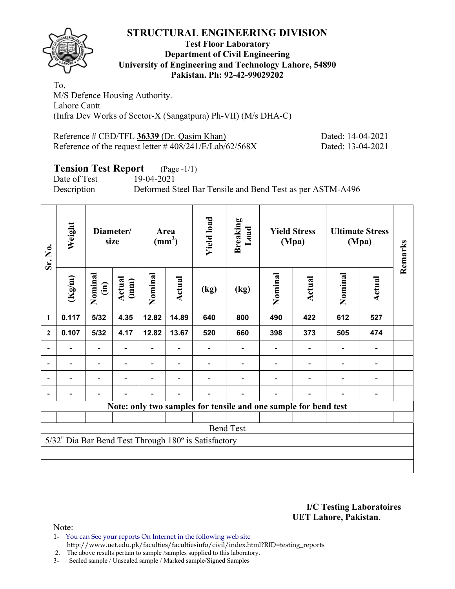

## **Test Floor Laboratory Department of Civil Engineering University of Engineering and Technology Lahore, 54890 Pakistan. Ph: 92-42-99029202**

To, M/S Defence Housing Authority. Lahore Cantt (Infra Dev Works of Sector-X (Sangatpura) Ph-VII) (M/s DHA-C)

Reference # CED/TFL 36339 (Dr. Qasim Khan) Dated: 14-04-2021 Reference of the request letter # 408/241/E/Lab/62/568X Dated: 13-04-2021

# **Tension Test Report** (Page -1/1)<br>Date of Test 19-04-2021

Date of Test

Description Deformed Steel Bar Tensile and Bend Test as per ASTM-A496

| Sr. No.      | Weight | Diameter/<br>size       |                | Area<br>$\text{(mm}^2)$ |        | <b>Yield load</b>                                    | <b>Breaking</b><br>Load                                         |                          | <b>Yield Stress</b><br>(Mpa) | <b>Ultimate Stress</b><br>(Mpa) | Remarks       |  |
|--------------|--------|-------------------------|----------------|-------------------------|--------|------------------------------------------------------|-----------------------------------------------------------------|--------------------------|------------------------------|---------------------------------|---------------|--|
|              | (Kg/m) | Nominal<br>$\mathbf{m}$ | Actual<br>(mm) | Nominal                 | Actual | $\left(\text{kg}\right)$                             | (kg)                                                            | Nominal                  | Actual                       | Nominal                         | <b>Actual</b> |  |
| 1            | 0.117  | $5/32$                  | 4.35           | 12.82                   | 14.89  |                                                      | 800                                                             | 490                      | 422                          | 612                             | 527           |  |
| $\mathbf{2}$ | 0.107  | 5/32                    | 4.17           | 12.82                   | 13.67  |                                                      | 660                                                             | 398                      | 373                          | 505                             | 474           |  |
|              |        |                         |                |                         |        |                                                      |                                                                 |                          |                              |                                 |               |  |
|              |        |                         |                |                         |        |                                                      |                                                                 |                          |                              |                                 |               |  |
|              |        |                         |                |                         |        |                                                      | $\qquad \qquad \blacksquare$                                    | $\overline{\phantom{0}}$ |                              |                                 |               |  |
|              |        |                         |                |                         |        |                                                      |                                                                 |                          |                              |                                 |               |  |
|              |        |                         |                |                         |        |                                                      | Note: only two samples for tensile and one sample for bend test |                          |                              |                                 |               |  |
|              |        |                         |                |                         |        |                                                      |                                                                 |                          |                              |                                 |               |  |
|              |        |                         |                |                         |        |                                                      | <b>Bend Test</b>                                                |                          |                              |                                 |               |  |
|              |        |                         |                |                         |        | 5/32" Dia Bar Bend Test Through 180° is Satisfactory |                                                                 |                          |                              |                                 |               |  |
|              |        |                         |                |                         |        |                                                      |                                                                 |                          |                              |                                 |               |  |
|              |        |                         |                |                         |        |                                                      |                                                                 |                          |                              |                                 |               |  |

### **I/C Testing Laboratoires UET Lahore, Pakistan**.

- 1- You can See your reports On Internet in the following web site http://www.uet.edu.pk/faculties/facultiesinfo/civil/index.html?RID=testing\_reports
- 2. The above results pertain to sample /samples supplied to this laboratory.
- 3- Sealed sample / Unsealed sample / Marked sample/Signed Samples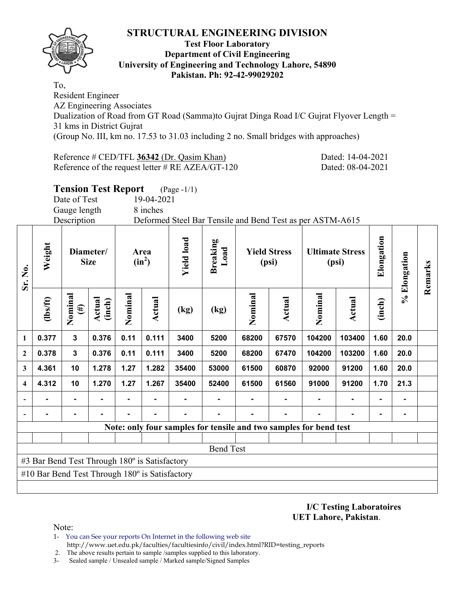

## **Test Floor Laboratory Department of Civil Engineering University of Engineering and Technology Lahore, 54890 Pakistan. Ph: 92-42-99029202**

To, Resident Engineer AZ Engineering Associates Dualization of Road from GT Road (Samma)to Gujrat Dinga Road I/C Gujrat Flyover Length = 31 kms in District Gujrat (Group No. III, km no. 17.53 to 31.03 including 2 no. Small bridges with approaches)

Reference # CED/TFL **36342** (Dr. Qasim Khan) Dated: 14-04-2021 Reference of the request letter # RE AZEA/GT-120 Dated: 08-04-2021

**Tension Test Report** (Page -1/1)

Date of Test 19-04-2021

Gauge length 8 inches

Description Deformed Steel Bar Tensile and Bend Test as per ASTM-A615

| Sr. No.                 | Weight                                                | Diameter/<br><b>Size</b> |                  |         | Area<br>$(in^2)$ | <b>Yield load</b> | <b>Breaking</b><br>Load |         | <b>Yield Stress</b><br>(psi) |                                                                   | <b>Ultimate Stress</b><br>(psi) | Elongation     | % Elongation | Remarks |
|-------------------------|-------------------------------------------------------|--------------------------|------------------|---------|------------------|-------------------|-------------------------|---------|------------------------------|-------------------------------------------------------------------|---------------------------------|----------------|--------------|---------|
|                         | $lbsft$                                               | Nominal<br>$(\#)$        | Actual<br>(inch) | Nominal | Actual           | (kg)              | (kg)                    | Nominal | Actual                       | Nominal                                                           | Actual                          | (inch)         |              |         |
| 1                       | 0.377                                                 | $\mathbf{3}$             | 0.376            | 0.11    | 0.111            | 3400              | 5200                    | 68200   | 67570                        | 104200                                                            | 103400                          | 1.60           | 20.0         |         |
| 2                       | 0.378                                                 | $\mathbf{3}$             | 0.376            | 0.11    | 0.111            | 3400              | 5200                    | 68200   | 67470                        | 104200                                                            | 103200                          | 1.60           | 20.0         |         |
| 3                       | 4.361                                                 | 10                       | 1.278            | 1.27    | 1.282            | 35400             | 53000                   | 61500   | 60870                        | 92000                                                             | 91200                           | 1.60           | 20.0         |         |
| $\overline{\mathbf{4}}$ | 4.312                                                 | 10                       | 1.270            | 1.27    | 1.267            | 35400             | 52400                   | 61500   | 61560                        | 91000                                                             | 91200                           | 1.70           | 21.3         |         |
|                         |                                                       |                          |                  |         |                  |                   |                         |         |                              |                                                                   | $\blacksquare$                  | $\blacksquare$ |              |         |
| $\blacksquare$          |                                                       |                          |                  |         |                  |                   |                         |         |                              |                                                                   | $\blacksquare$                  | $\blacksquare$ |              |         |
|                         |                                                       |                          |                  |         |                  |                   |                         |         |                              | Note: only four samples for tensile and two samples for bend test |                                 |                |              |         |
|                         |                                                       |                          |                  |         |                  |                   |                         |         |                              |                                                                   |                                 |                |              |         |
|                         |                                                       |                          |                  |         |                  |                   | <b>Bend Test</b>        |         |                              |                                                                   |                                 |                |              |         |
|                         | #3 Bar Bend Test Through 180° is Satisfactory         |                          |                  |         |                  |                   |                         |         |                              |                                                                   |                                 |                |              |         |
|                         | #10 Bar Bend Test Through $180^\circ$ is Satisfactory |                          |                  |         |                  |                   |                         |         |                              |                                                                   |                                 |                |              |         |
|                         |                                                       |                          |                  |         |                  |                   |                         |         |                              |                                                                   |                                 |                |              |         |

**I/C Testing Laboratoires UET Lahore, Pakistan**.

- 1- You can See your reports On Internet in the following web site http://www.uet.edu.pk/faculties/facultiesinfo/civil/index.html?RID=testing\_reports
- 2. The above results pertain to sample /samples supplied to this laboratory.
- 3- Sealed sample / Unsealed sample / Marked sample/Signed Samples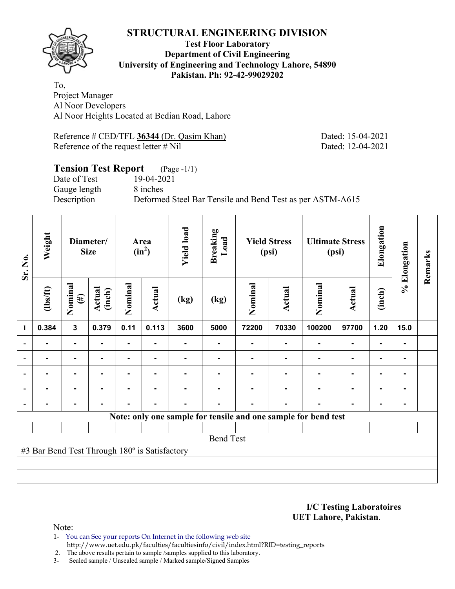

## **Test Floor Laboratory Department of Civil Engineering University of Engineering and Technology Lahore, 54890 Pakistan. Ph: 92-42-99029202**

To, Project Manager Al Noor Developers Al Noor Heights Located at Bedian Road, Lahore

Reference # CED/TFL 36344 (Dr. Qasim Khan) Dated: 15-04-2021 Reference of the request letter # Nil Dated: 12-04-2021

#### **Tension Test Report** (Page -1/1) Date of Test 19-04-2021

Gauge length 8 inches

Description Deformed Steel Bar Tensile and Bend Test as per ASTM-A615

| Sr. No. | Weight                                        |                   | Diameter/<br><b>Size</b> |                | Area<br>$(in^2)$ | <b>Yield load</b> | <b>Breaking</b><br>Load |                | <b>Yield Stress</b><br>(psi) |                                                                | <b>Ultimate Stress</b><br>(psi) | Elongation     | % Elongation   | Remarks |
|---------|-----------------------------------------------|-------------------|--------------------------|----------------|------------------|-------------------|-------------------------|----------------|------------------------------|----------------------------------------------------------------|---------------------------------|----------------|----------------|---------|
|         | $\frac{2}{10}$                                | Nominal<br>$(\#)$ | Actual<br>(inch)         | Nominal        | Actual           | (kg)              | (kg)                    | Nominal        | Actual                       | Nominal                                                        | <b>Actual</b>                   | (inch)         |                |         |
| 1       | 0.384                                         | $\mathbf{3}$      | 0.379                    | 0.11           | 0.113            | 3600              | 5000                    | 72200          | 70330                        | 100200                                                         | 97700                           | 1.20           | 15.0           |         |
|         | $\blacksquare$                                | $\blacksquare$    | $\blacksquare$           | $\blacksquare$ | $\blacksquare$   |                   | ۰                       | ٠              | $\blacksquare$               |                                                                | $\blacksquare$                  | $\blacksquare$ |                |         |
|         | ۰                                             | $\blacksquare$    | -                        | ٠              | $\blacksquare$   |                   | $\blacksquare$          | $\blacksquare$ |                              |                                                                | $\blacksquare$                  | $\blacksquare$ | $\blacksquare$ |         |
|         |                                               | ۰                 |                          |                | $\blacksquare$   |                   |                         |                |                              |                                                                | $\blacksquare$                  | $\blacksquare$ |                |         |
|         |                                               | $\blacksquare$    |                          | $\blacksquare$ |                  |                   |                         |                |                              |                                                                | $\blacksquare$                  | $\blacksquare$ |                |         |
|         |                                               |                   |                          |                | $\blacksquare$   |                   |                         |                | -                            |                                                                | $\blacksquare$                  | $\blacksquare$ |                |         |
|         |                                               |                   |                          |                |                  |                   |                         |                |                              | Note: only one sample for tensile and one sample for bend test |                                 |                |                |         |
|         |                                               |                   |                          |                |                  |                   |                         |                |                              |                                                                |                                 |                |                |         |
|         |                                               |                   |                          |                |                  |                   | <b>Bend Test</b>        |                |                              |                                                                |                                 |                |                |         |
|         | #3 Bar Bend Test Through 180° is Satisfactory |                   |                          |                |                  |                   |                         |                |                              |                                                                |                                 |                |                |         |
|         |                                               |                   |                          |                |                  |                   |                         |                |                              |                                                                |                                 |                |                |         |
|         |                                               |                   |                          |                |                  |                   |                         |                |                              |                                                                |                                 |                |                |         |

**I/C Testing Laboratoires UET Lahore, Pakistan**.

Note:

1- You can See your reports On Internet in the following web site http://www.uet.edu.pk/faculties/facultiesinfo/civil/index.html?RID=testing\_reports

2. The above results pertain to sample /samples supplied to this laboratory.